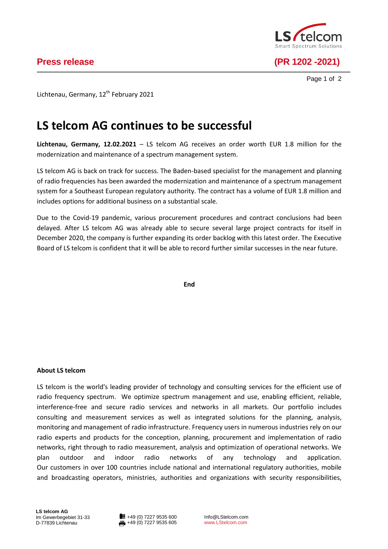

**Press release (PR 1202 -2021)**

Page 1 of 2

Lichtenau, Germany, 12<sup>th</sup> February 2021

## **LS telcom AG continues to be successful**

**Lichtenau, Germany, 12.02.2021** – LS telcom AG receives an order worth EUR 1.8 million for the modernization and maintenance of a spectrum management system.

LS telcom AG is back on track for success. The Baden-based specialist for the management and planning of radio frequencies has been awarded the modernization and maintenance of a spectrum management system for a Southeast European regulatory authority. The contract has a volume of EUR 1.8 million and includes options for additional business on a substantial scale.

Due to the Covid-19 pandemic, various procurement procedures and contract conclusions had been delayed. After LS telcom AG was already able to secure several large project contracts for itself in December 2020, the company is further expanding its order backlog with this latest order. The Executive Board of LS telcom is confident that it will be able to record further similar successes in the near future.

**End**

## **About LS telcom**

LS telcom is the world's leading provider of technology and consulting services for the efficient use of radio frequency spectrum. We optimize spectrum management and use, enabling efficient, reliable, interference-free and secure radio services and networks in all markets. Our portfolio includes consulting and measurement services as well as integrated solutions for the planning, analysis, monitoring and management of radio infrastructure. Frequency users in numerous industries rely on our radio experts and products for the conception, planning, procurement and implementation of radio networks, right through to radio measurement, analysis and optimization of operational networks. We plan outdoor and indoor radio networks of any technology and application. Our customers in over 100 countries include national and international regulatory authorities, mobile and broadcasting operators, ministries, authorities and organizations with security responsibilities,

Info@LStelcom.com www.LStelcom.com